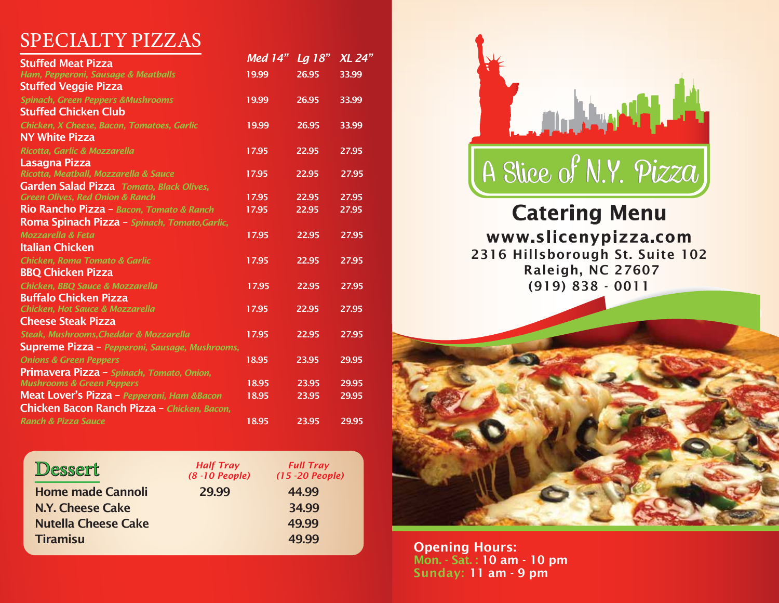# SPECIALTY PIZZAS

| <b>Stuffed Meat Pizza</b>                             | <b>Med 14"</b> | Lg 18" | <b>XL 24"</b> |
|-------------------------------------------------------|----------------|--------|---------------|
| Ham, Pepperoni, Sausage & Meatballs                   | 19.99          | 26.95  | 33.99         |
| <b>Stuffed Veggie Pizza</b>                           |                |        |               |
| <b>Spinach, Green Peppers &amp;Mushrooms</b>          | 19.99          | 26.95  | 33.99         |
| <b>Stuffed Chicken Club</b>                           |                |        |               |
| Chicken, X Cheese, Bacon, Tomatoes, Garlic            | 19.99          | 26.95  | 33.99         |
| <b>NY White Pizza</b>                                 |                |        |               |
| Ricotta, Garlic & Mozzarella                          | 17.95          | 22.95  | 27.95         |
| Lasagna Pizza                                         |                |        |               |
| Ricotta, Meatball, Mozzarella & Sauce                 | 17.95          | 22.95  | 27.95         |
| Garden Salad Pizza Tomato, Black Olives,              |                |        |               |
| <b>Green Olives, Red Onion &amp; Ranch</b>            | 17.95          | 22.95  | 27.95         |
| Rio Rancho Pizza - Bacon, Tomato & Ranch              | 17.95          | 22.95  | 27.95         |
| Roma Spinach Pizza - Spinach, Tomato, Garlic,         |                |        |               |
| <b>Mozzarella &amp; Feta</b>                          | 17.95          | 22.95  | 27.95         |
| Italian Chicken                                       |                |        |               |
| <b>Chicken, Roma Tomato &amp; Garlic</b>              | 17.95          | 22.95  | 27.95         |
| <b>BBQ Chicken Pizza</b>                              |                |        |               |
| Chicken, BBQ Sauce & Mozzarella                       | 17.95          | 22.95  | 27.95         |
| <b>Buffalo Chicken Pizza</b>                          |                |        |               |
| <b>Chicken, Hot Sauce &amp; Mozzarella</b>            | 17.95          | 22.95  | 27.95         |
| Cheese Steak Pizza                                    |                |        |               |
| Steak, Mushrooms, Cheddar & Mozzarella                | 17.95          | 22.95  | 27.95         |
| <b>Supreme Pizza</b> – Pepperoni, Sausage, Mushrooms, |                |        |               |
| <b>Onions &amp; Green Peppers</b>                     | 18.95          | 23.95  | 29.95         |
| Primavera Pizza - Spinach, Tomato, Onion,             |                |        |               |
| <b>Mushrooms &amp; Green Peppers</b>                  | 18.95          | 23.95  | 29.95         |
| Meat Lover's Pizza - Pepperoni, Ham &Bacon            | 18.95          | 23.95  | 29.95         |
| Chicken Bacon Ranch Pizza - Chicken, Bacon,           |                |        |               |
| <b>Ranch &amp; Pizza Sauce</b>                        |                |        |               |

| Dessert                    | <b>Half Tray</b><br>$(8 - 10$ People) | <b>Full Tray</b><br>$(15 - 20$ People) |
|----------------------------|---------------------------------------|----------------------------------------|
| <b>Home made Cannoli</b>   | 29.99                                 | 44.99                                  |
| N.Y. Cheese Cake           |                                       | 34.99                                  |
| <b>Nutella Cheese Cake</b> |                                       | 49.99                                  |
| <b>Tiramisu</b>            |                                       | 49.99                                  |



## 2316 Hillsborough St. Suite 102 Raleigh, NC 27607 (919) 838 - 0011 www.slicenypizza.com Catering Menu



Opening Hours: Mon. - Sat. : 10 am - 10 pm Sunday: 11 am - 9 pm